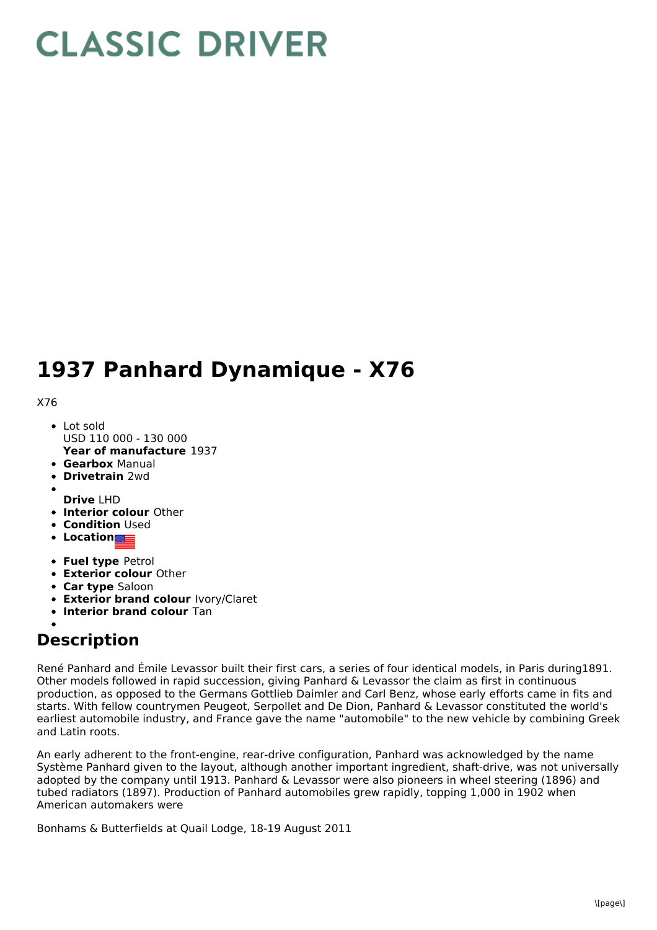## **CLASSIC DRIVER**

## **1937 Panhard Dynamique - X76**

X76

- **Year of manufacture** 1937 Lot sold USD 110 000 - 130 000
- **Gearbox** Manual
- **Drivetrain** 2wd
- **Drive** LHD
- **Interior colour** Other
- **Condition** Used
- **Location**
- **Fuel type** Petrol
- **Exterior colour** Other
- **Car type** Saloon
- **Exterior brand colour** Ivory/Claret
- **Interior brand colour** Tan

## **Description**

René Panhard and Émile Levassor built their first cars, a series of four identical models, in Paris during1891. Other models followed in rapid succession, giving Panhard & Levassor the claim as first in continuous production, as opposed to the Germans Gottlieb Daimler and Carl Benz, whose early efforts came in fits and starts. With fellow countrymen Peugeot, Serpollet and De Dion, Panhard & Levassor constituted the world's earliest automobile industry, and France gave the name "automobile" to the new vehicle by combining Greek and Latin roots.

An early adherent to the front-engine, rear-drive configuration, Panhard was acknowledged by the name Système Panhard given to the layout, although another important ingredient, shaft-drive, was not universally adopted by the company until 1913. Panhard & Levassor were also pioneers in wheel steering (1896) and tubed radiators (1897). Production of Panhard automobiles grew rapidly, topping 1,000 in 1902 when American automakers were

Bonhams & Butterfields at Quail Lodge, 18-19 August 2011